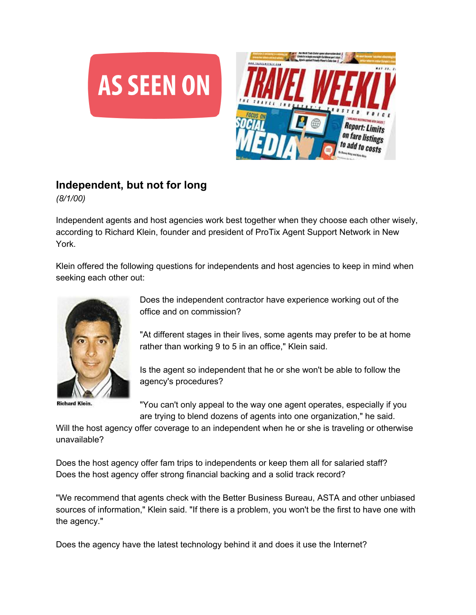



## **Independent, but not for long**

*(8/1/00)*

Independent agents and host agencies work best together when they choose each other wisely, according to Richard Klein, founder and president of ProTix Agent Support Network in New York.

Klein offered the following questions for independents and host agencies to keep in mind when seeking each other out:



**Richard Klein.** 

Does the independent contractor have experience working out of the office and on commission?

"At different stages in their lives, some agents may prefer to be at home rather than working 9 to 5 in an office," Klein said.

Is the agent so independent that he or she won't be able to follow the agency's procedures?

"You can't only appeal to the way one agent operates, especially if you are trying to blend dozens of agents into one organization," he said.

Will the host agency offer coverage to an independent when he or she is traveling or otherwise unavailable?

Does the host agency offer fam trips to independents or keep them all for salaried staff? Does the host agency offer strong financial backing and a solid track record?

"We recommend that agents check with the Better Business Bureau, ASTA and other unbiased sources of information," Klein said. "If there is a problem, you won't be the first to have one with the agency."

Does the agency have the latest technology behind it and does it use the Internet?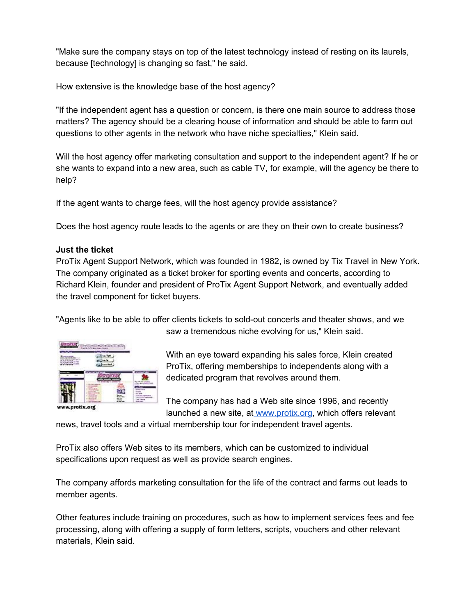"Make sure the company stays on top of the latest technology instead of resting on its laurels, because [technology] is changing so fast," he said.

How extensive is the knowledge base of the host agency?

"If the independent agent has a question or concern, is there one main source to address those matters? The agency should be a clearing house of information and should be able to farm out questions to other agents in the network who have niche specialties," Klein said.

Will the host agency offer marketing consultation and support to the independent agent? If he or she wants to expand into a new area, such as cable TV, for example, will the agency be there to help?

If the agent wants to charge fees, will the host agency provide assistance?

Does the host agency route leads to the agents or are they on their own to create business?

## **Just the ticket**

ProTix Agent Support Network, which was founded in 1982, is owned by Tix Travel in New York. The company originated as a ticket broker for sporting events and concerts, according to Richard Klein, founder and president of ProTix Agent Support Network, and eventually added the travel component for ticket buyers.

"Agents like to be able to offer clients tickets to sold-out concerts and theater shows, and we



saw a tremendous niche evolving for us," Klein said.

With an eye toward expanding his sales force, Klein created ProTix, offering memberships to independents along with a dedicated program that revolves around them.

The company has had a Web site since 1996, and recently launched a new site, at [www.protix.org,](http://www.protix.org/) which offers relevant

news, travel tools and a virtual membership tour for independent travel agents.

ProTix also offers Web sites to its members, which can be customized to individual specifications upon request as well as provide search engines.

The company affords marketing consultation for the life of the contract and farms out leads to member agents.

Other features include training on procedures, such as how to implement services fees and fee processing, along with offering a supply of form letters, scripts, vouchers and other relevant materials, Klein said.